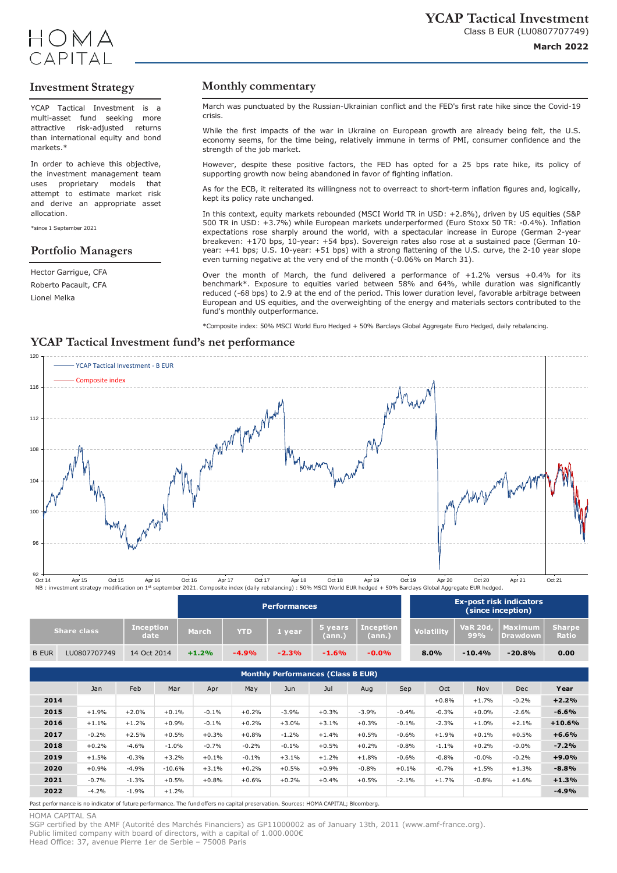

## **Investment Strategy**

YCAP Tactical Investment is a multi-asset fund seeking more attractive risk-adjusted returns than international equity and bond markets<sup>\*</sup>

In order to achieve this objective, the investment management team uses proprietary models that attempt to estimate market risk and derive an appropriate asset allocation.

\*since 1 September 2021

## **Portfolio Managers**

Hector Garrigue, CFA Roberto Pacault, CFA Lionel Melka

### **Monthly commentary**

March was punctuated by the Russian-Ukrainian conflict and the FED's first rate hike since the Covid-19 crisis.

While the first impacts of the war in Ukraine on European growth are already being felt, the U.S. economy seems, for the time being, relatively immune in terms of PMI, consumer confidence and the strength of the job market.

However, despite these positive factors, the FED has opted for a 25 bps rate hike, its policy of supporting growth now being abandoned in favor of fighting inflation.

As for the ECB, it reiterated its willingness not to overreact to short-term inflation figures and, logically, kept its policy rate unchanged.

In this context, equity markets rebounded (MSCI World TR in USD: +2.8%), driven by US equities (S&P 500 TR in USD: +3.7%) while European markets underperformed (Euro Stoxx 50 TR: -0.4%). Inflation expectations rose sharply around the world, with a spectacular increase in Europe (German 2-year breakeven: +170 bps, 10-year: +54 bps). Sovereign rates also rose at a sustained pace (German 10 year: +41 bps; U.S. 10-year: +51 bps) with a strong flattening of the U.S. curve, the 2-10 year slope even turning negative at the very end of the month (-0.06% on March 31).

Over the month of March, the fund delivered a performance of  $+1.2\%$  versus  $+0.4\%$  for its benchmark\*. Exposure to equities varied between 58% and 64%, while duration was significantly reduced (-68 bps) to 2.9 at the end of the period. This lower duration level, favorable arbitrage between European and US equities, and the overweighting of the energy and materials sectors contributed to the fund's monthly outperformance.

\*Composite index: 50% MSCI World Euro Hedged + 50% Barclays Global Aggregate Euro Hedged, daily rebalancing.

## **YCAP Tactical Investment fund's net performance**



| NB: investment strategy modification on 1st september 2021. Composite index (daily rebalancing): 50% MSCI World EUR hedged + 50% Barclays Global Aggregate EUR hedged. |  |  |
|------------------------------------------------------------------------------------------------------------------------------------------------------------------------|--|--|
|                                                                                                                                                                        |  |  |

|              |                    |                          |         |            | <b>Performances</b> |                   |                            | <b>Ex-post risk indicators</b><br>(since inception) |                         |                     |                                |
|--------------|--------------------|--------------------------|---------|------------|---------------------|-------------------|----------------------------|-----------------------------------------------------|-------------------------|---------------------|--------------------------------|
|              | <b>Share class</b> | <b>Inception</b><br>date | March   | <b>YTD</b> | I vear i            | 5 years<br>(ann.) | <b>Inception</b><br>(ann.) | <b>Volatility</b>                                   | <b>VaR 20d,</b><br>.99% | Maximum<br>Drawdown | <b>Sharpe</b><br><b>Ration</b> |
| <b>B EUR</b> | LU0807707749       | 14 Oct 2014              | $+1.2%$ | $-4.9%$    | $-2.3%$             | $-1.6%$           | $-0.0\%$                   | 8.0%                                                | $-10.4%$                | $-20.8%$            | 0.00                           |

### **Monthly Performances (Class B EUR)**

|      | Jan     | Feb     | Mar      | Apr     | May     | Jun     | Jul     | Aug     | Sep     | Oct     | <b>Nov</b> | <b>Dec</b> | Year     |
|------|---------|---------|----------|---------|---------|---------|---------|---------|---------|---------|------------|------------|----------|
| 2014 |         |         |          |         |         |         |         |         |         | $+0.8%$ | $+1.7%$    | $-0.2%$    | $+2.2%$  |
| 2015 | $+1.9%$ | $+2.0%$ | $+0.1%$  | $-0.1%$ | $+0.2%$ | $-3.9%$ | $+0.3%$ | $-3.9%$ | $-0.4%$ | $-0.3%$ | $+0.0%$    | $-2.6%$    | $-6.6%$  |
| 2016 | $+1.1%$ | $+1.2%$ | $+0.9%$  | $-0.1%$ | $+0.2%$ | $+3.0%$ | $+3.1%$ | $+0.3%$ | $-0.1%$ | $-2.3%$ | $+1.0%$    | $+2.1%$    | $+10.6%$ |
| 2017 | $-0.2%$ | $+2.5%$ | $+0.5%$  | $+0.3%$ | $+0.8%$ | $-1.2%$ | $+1.4%$ | $+0.5%$ | $-0.6%$ | $+1.9%$ | $+0.1%$    | $+0.5%$    | $+6.6%$  |
| 2018 | $+0.2%$ | $-4.6%$ | $-1.0%$  | $-0.7%$ | $-0.2%$ | $-0.1%$ | $+0.5%$ | $+0.2%$ | $-0.8%$ | $-1.1%$ | $+0.2%$    | $-0.0%$    | $-7.2%$  |
| 2019 | $+1.5%$ | $-0.3%$ | $+3.2%$  | $+0.1%$ | $-0.1%$ | $+3.1%$ | $+1.2%$ | $+1.8%$ | $-0.6%$ | $-0.8%$ | $-0.0%$    | $-0.2%$    | $+9.0%$  |
| 2020 | $+0.9%$ | $-4.9%$ | $-10.6%$ | $+3.1%$ | $+0.2%$ | $+0.5%$ | $+0.9%$ | $-0.8%$ | $+0.1%$ | $-0.7%$ | $+1.5%$    | $+1.3%$    | $-8.8%$  |
| 2021 | $-0.7%$ | $-1.3%$ | $+0.5%$  | $+0.8%$ | $+0.6%$ | $+0.2%$ | $+0.4%$ | $+0.5%$ | $-2.1%$ | $+1.7%$ | $-0.8%$    | $+1.6%$    | $+1.3%$  |
| 2022 | $-4.2%$ | $-1.9%$ | $+1.2%$  |         |         |         |         |         |         |         |            |            | $-4.9%$  |
|      |         |         |          |         |         |         |         |         |         |         |            |            |          |

Past performance is no indicator of future performance. The fund offers no capital preservation. Sources: HOMA CAPITAL; Bloomberg.

HOMA CAPITAL SA

SGP certified by the AMF (Autorité des Marchés Financiers) as GP11000002 as of January 13th, 2011 (www.amf-france.org). Public limited company with board of directors, with a capital of 1.000.000€ Head Office: 37, avenue Pierre 1er de Serbie – 75008 Paris